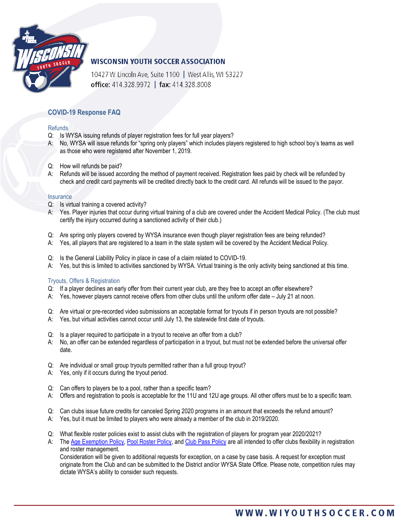

### **WISCONSIN YOUTH SOCCER ASSOCIATION**

10427 W Lincoln Ave, Suite 1100 | West Allis, WI 53227 office: 414.328.9972 | fax: 414.328.8008

### **COVID-19 Response FAQ**

### **Refunds**

- Q: Is WYSA issuing refunds of player registration fees for full year players?
- A: No, WYSA will issue refunds for "spring only players" which includes players registered to high school boy's teams as well as those who were registered after November 1, 2019.
- Q: How will refunds be paid?
- A: Refunds will be issued according the method of payment received. Registration fees paid by check will be refunded by check and credit card payments will be credited directly back to the credit card. All refunds will be issued to the payor.

#### **Insurance**

- Q: Is virtual training a covered activity?
- A: Yes. Player injuries that occur during virtual training of a club are covered under the Accident Medical Policy. (The club must certify the injury occurred during a sanctioned activity of their club.)
- Q: Are spring only players covered by WYSA insurance even though player registration fees are being refunded?
- A: Yes, all players that are registered to a team in the state system will be covered by the Accident Medical Policy.
- Q: Is the General Liability Policy in place in case of a claim related to COVID-19.
- A: Yes, but this is limited to activities sanctioned by WYSA. Virtual training is the only activity being sanctioned at this time.

#### Tryouts, Offers & Registration

- Q: If a player declines an early offer from their current year club, are they free to accept an offer elsewhere?
- A: Yes, however players cannot receive offers from other clubs until the uniform offer date July 21 at noon.
- Q: Are virtual or pre-recorded video submissions an acceptable format for tryouts if in person tryouts are not possible?
- A: Yes, but virtual activities cannot occur until July 13, the statewide first date of tryouts.
- Q: Is a player required to participate in a tryout to receive an offer from a club?
- A: No, an offer can be extended regardless of participation in a tryout, but must not be extended before the universal offer date.
- Q: Are individual or small group tryouts permitted rather than a full group tryout?
- A: Yes, only if it occurs during the tryout period.
- Q: Can offers to players be to a pool, rather than a specific team?
- A: Offers and registration to pools is acceptable for the 11U and 12U age groups. All other offers must be to a specific team.
- Q: Can clubs issue future credits for canceled Spring 2020 programs in an amount that exceeds the refund amount?
- A: Yes, but it must be limited to players who were already a member of the club in 2019/2020.
- Q: What flexible roster policies exist to assist clubs with the registration of players for program year 2020/2021?
- A: Th[e Age Exemption Policy,](https://www.wiyouthsoccer.com/assets/75/6/wysa_age_exemption_policy_approved_0519.pdf) [Pool Roster Policy,](https://www.wiyouthsoccer.com/assets/75/6/pool_rosters_1314_-_new_logo.pdf) and [Club Pass Policy](https://www.wiyouthsoccer.com/assets/75/6/club_pass_policy_0413_-_new_logo.pdf) are all intended to offer clubs flexibility in registration and roster management.

Consideration will be given to additional requests for exception, on a case by case basis. A request for exception must originate from the Club and can be submitted to the District and/or WYSA State Office. Please note, competition rules may dictate WYSA's ability to consider such requests.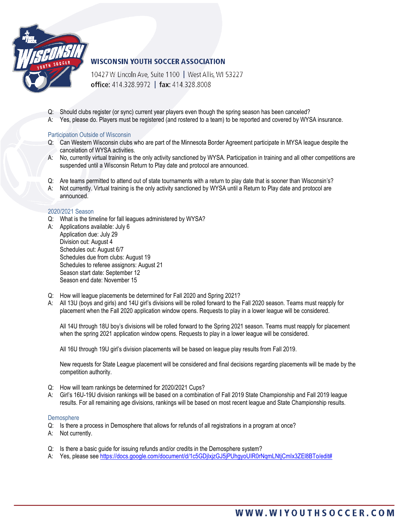

# **WISCONSIN YOUTH SOCCER ASSOCIATION**

10427 W Lincoln Ave, Suite 1100 | West Allis, WI 53227 office: 414.328.9972 | fax: 414.328.8008

- Q: Should clubs register (or sync) current year players even though the spring season has been canceled?
- A: Yes, please do. Players must be registered (and rostered to a team) to be reported and covered by WYSA insurance.

#### Participation Outside of Wisconsin

- Q: Can Western Wisconsin clubs who are part of the Minnesota Border Agreement participate in MYSA league despite the cancelation of WYSA activities.
- A: No, currently virtual training is the only activity sanctioned by WYSA. Participation in training and all other competitions are suspended until a Wisconsin Return to Play date and protocol are announced.
- Q: Are teams permitted to attend out of state tournaments with a return to play date that is sooner than Wisconsin's?
- A: Not currently. Virtual training is the only activity sanctioned by WYSA until a Return to Play date and protocol are announced.

#### 2020/2021 Season

- Q: What is the timeline for fall leagues administered by WYSA?
- A: Applications available: July 6 Application due: July 29 Division out: August 4 Schedules out: August 6/7 Schedules due from clubs: August 19 Schedules to referee assignors: August 21 Season start date: September 12 Season end date: November 15
- Q: How will league placements be determined for Fall 2020 and Spring 2021?
- A: All 13U (boys and girls) and 14U girl's divisions will be rolled forward to the Fall 2020 season. Teams must reapply for placement when the Fall 2020 application window opens. Requests to play in a lower league will be considered.

All 14U through 18U boy's divisions will be rolled forward to the Spring 2021 season. Teams must reapply for placement when the spring 2021 application window opens. Requests to play in a lower league will be considered.

All 16U through 19U girl's division placements will be based on league play results from Fall 2019.

New requests for State League placement will be considered and final decisions regarding placements will be made by the competition authority.

- Q: How will team rankings be determined for 2020/2021 Cups?
- A: Girl's 16U-19U division rankings will be based on a combination of Fall 2019 State Championship and Fall 2019 league results. For all remaining age divisions, rankings will be based on most recent league and State Championship results.

#### Demosphere

- Q: Is there a process in Demosphere that allows for refunds of all registrations in a program at once?
- A: Not currently.
- Q: Is there a basic guide for issuing refunds and/or credits in the Demosphere system?
- A: Yes, please see https://docs.google.com/document/d/1c5GDjlxjzGJ5jPUhgyoUIR0rNgmLNtjCmIx3ZEl8BTo/edit#